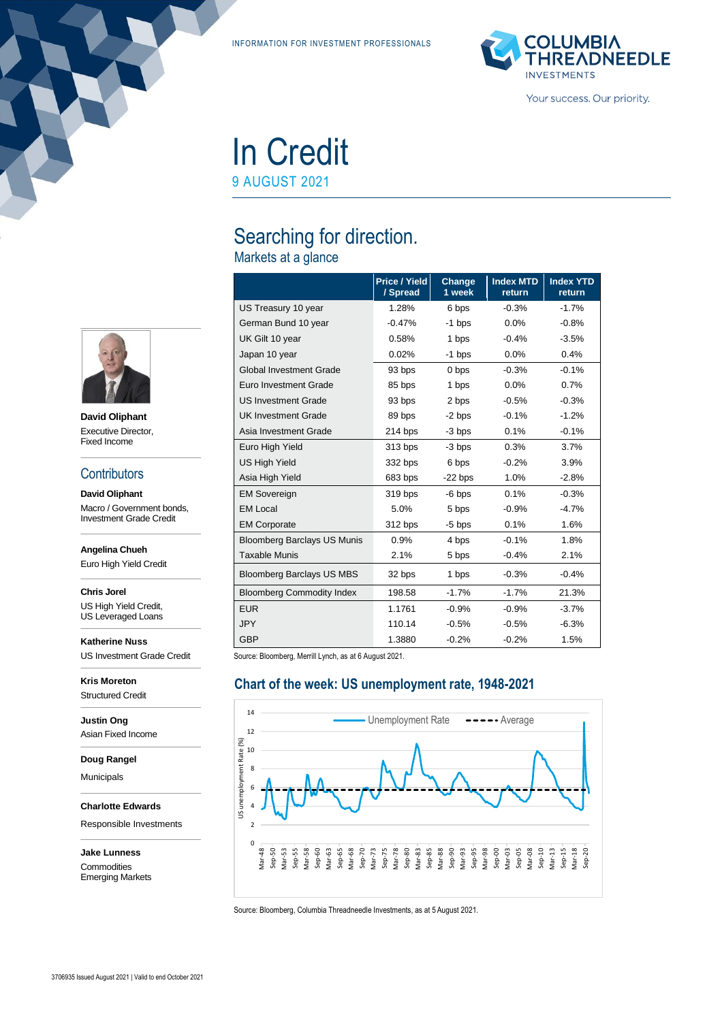INFORMATION FOR INVESTMENT PROFESSIONALS



# In Credit

9 AUGUST 2021

# Searching for direction.

Markets at a glance

|                                    | <b>Price / Yield</b><br>/ Spread | Change<br>1 week | <b>Index MTD</b><br>return | <b>Index YTD</b><br>return |
|------------------------------------|----------------------------------|------------------|----------------------------|----------------------------|
| US Treasury 10 year                | 1.28%                            | 6 bps            | $-0.3%$                    | $-1.7%$                    |
| German Bund 10 year                | $-0.47%$                         | -1 bps           | $0.0\%$                    | $-0.8%$                    |
| UK Gilt 10 year                    | 0.58%                            | 1 bps            | $-0.4%$                    | $-3.5%$                    |
| Japan 10 year                      | 0.02%                            | $-1$ bps         | 0.0%                       | 0.4%                       |
| <b>Global Investment Grade</b>     | 93 bps                           | 0 bps            | $-0.3%$                    | $-0.1%$                    |
| Euro Investment Grade              | 85 bps                           | 1 bps            | 0.0%                       | 0.7%                       |
| <b>US Investment Grade</b>         | 93 bps                           | 2 bps            | $-0.5%$                    | $-0.3%$                    |
| <b>UK Investment Grade</b>         | 89 bps                           | $-2$ bps         | $-0.1%$                    | $-1.2%$                    |
| Asia Investment Grade              | 214 bps                          | $-3$ bps         | 0.1%                       | $-0.1%$                    |
| Euro High Yield                    | 313 bps                          | -3 bps           | 0.3%                       | 3.7%                       |
| <b>US High Yield</b>               | 332 bps                          | 6 bps            | $-0.2%$                    | 3.9%                       |
| Asia High Yield                    | 683 bps                          | $-22$ bps        | 1.0%                       | $-2.8%$                    |
| <b>EM Sovereign</b>                | 319 bps                          | $-6$ bps         | 0.1%                       | $-0.3%$                    |
| <b>EM Local</b>                    | 5.0%                             | 5 bps            | $-0.9\%$                   | $-4.7%$                    |
| <b>EM Corporate</b>                | 312 bps                          | $-5$ bps         | 0.1%                       | 1.6%                       |
| <b>Bloomberg Barclays US Munis</b> | 0.9%                             | 4 bps            | $-0.1%$                    | 1.8%                       |
| <b>Taxable Munis</b>               | 2.1%                             | 5 bps            | $-0.4%$                    | 2.1%                       |
| <b>Bloomberg Barclays US MBS</b>   | 32 bps                           | 1 bps            | $-0.3%$                    | $-0.4%$                    |
| <b>Bloomberg Commodity Index</b>   | 198.58                           | $-1.7%$          | $-1.7%$                    | 21.3%                      |
| <b>EUR</b>                         | 1.1761                           | $-0.9%$          | $-0.9%$                    | $-3.7%$                    |
| <b>JPY</b>                         | 110.14                           | $-0.5%$          | $-0.5%$                    | $-6.3%$                    |
| <b>GBP</b>                         | 1.3880                           | $-0.2%$          | $-0.2%$                    | 1.5%                       |

Source: Bloomberg, Merrill Lynch, as at 6 August 2021.

#### **Chart of the week: US unemployment rate, 1948-2021**



Source: Bloomberg, Columbia Threadneedle Investments, as at 5 August 2021.



**David Oliphant** Executive Director, Fixed Income

#### **Contributors**

**David Oliphant** Macro / Government bonds, Investment Grade Credit

**Angelina Chueh**

Euro High Yield Credit

**Chris Jorel** US High Yield Credit,

US Leveraged Loans **Katherine Nuss**

US Investment Grade Credit

**Kris Moreton** Structured Credit

**Justin Ong** Asian Fixed Income

**Doug Rangel**

Municipals

**Charlotte Edwards**

Responsible Investments

**Jake Lunness Commodities** Emerging Markets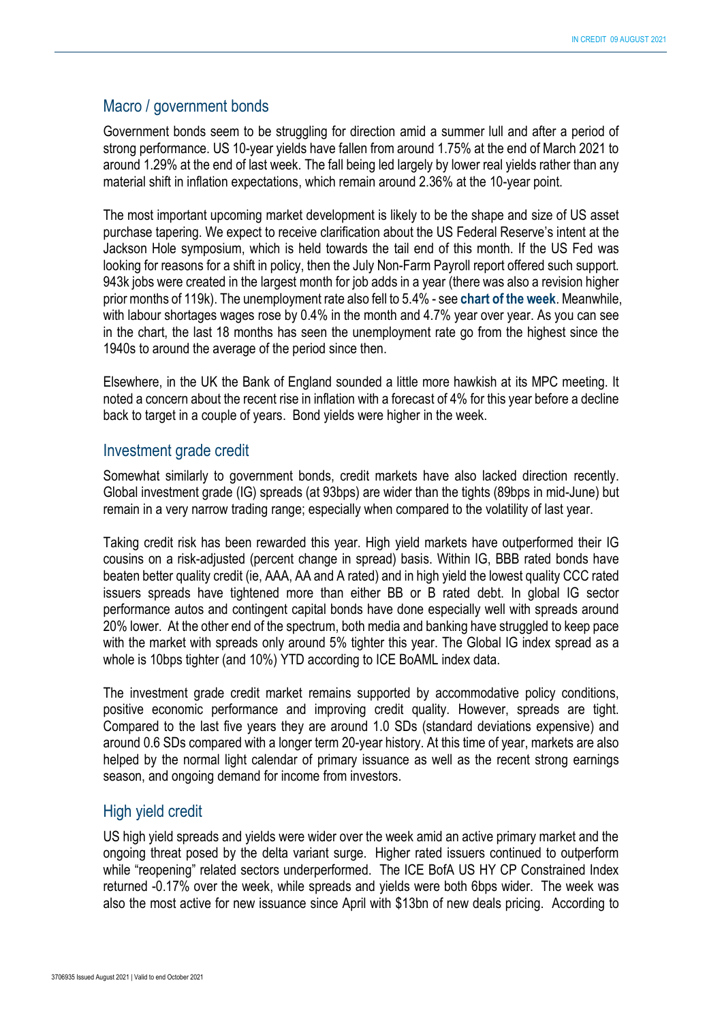#### Macro / government bonds

Government bonds seem to be struggling for direction amid a summer lull and after a period of strong performance. US 10-year yields have fallen from around 1.75% at the end of March 2021 to around 1.29% at the end of last week. The fall being led largely by lower real yields rather than any material shift in inflation expectations, which remain around 2.36% at the 10-year point.

The most important upcoming market development is likely to be the shape and size of US asset purchase tapering. We expect to receive clarification about the US Federal Reserve's intent at the Jackson Hole symposium, which is held towards the tail end of this month. If the US Fed was looking for reasons for a shift in policy, then the July Non-Farm Payroll report offered such support. 943k jobs were created in the largest month for job adds in a year (there was also a revision higher prior months of 119k). The unemployment rate also fell to 5.4% - see **chart of the week**. Meanwhile, with labour shortages wages rose by 0.4% in the month and 4.7% year over year. As you can see in the chart, the last 18 months has seen the unemployment rate go from the highest since the 1940s to around the average of the period since then.

Elsewhere, in the UK the Bank of England sounded a little more hawkish at its MPC meeting. It noted a concern about the recent rise in inflation with a forecast of 4% for this year before a decline back to target in a couple of years. Bond yields were higher in the week.

#### Investment grade credit

Somewhat similarly to government bonds, credit markets have also lacked direction recently. Global investment grade (IG) spreads (at 93bps) are wider than the tights (89bps in mid-June) but remain in a very narrow trading range; especially when compared to the volatility of last year.

Taking credit risk has been rewarded this year. High yield markets have outperformed their IG cousins on a risk-adjusted (percent change in spread) basis. Within IG, BBB rated bonds have beaten better quality credit (ie, AAA, AA and A rated) and in high yield the lowest quality CCC rated issuers spreads have tightened more than either BB or B rated debt. In global IG sector performance autos and contingent capital bonds have done especially well with spreads around 20% lower. At the other end of the spectrum, both media and banking have struggled to keep pace with the market with spreads only around 5% tighter this year. The Global IG index spread as a whole is 10bps tighter (and 10%) YTD according to ICE BoAML index data.

The investment grade credit market remains supported by accommodative policy conditions, positive economic performance and improving credit quality. However, spreads are tight. Compared to the last five years they are around 1.0 SDs (standard deviations expensive) and around 0.6 SDs compared with a longer term 20-year history. At this time of year, markets are also helped by the normal light calendar of primary issuance as well as the recent strong earnings season, and ongoing demand for income from investors.

## High yield credit

US high yield spreads and yields were wider over the week amid an active primary market and the ongoing threat posed by the delta variant surge. Higher rated issuers continued to outperform while "reopening" related sectors underperformed. The ICE BofA US HY CP Constrained Index returned -0.17% over the week, while spreads and yields were both 6bps wider. The week was also the most active for new issuance since April with \$13bn of new deals pricing. According to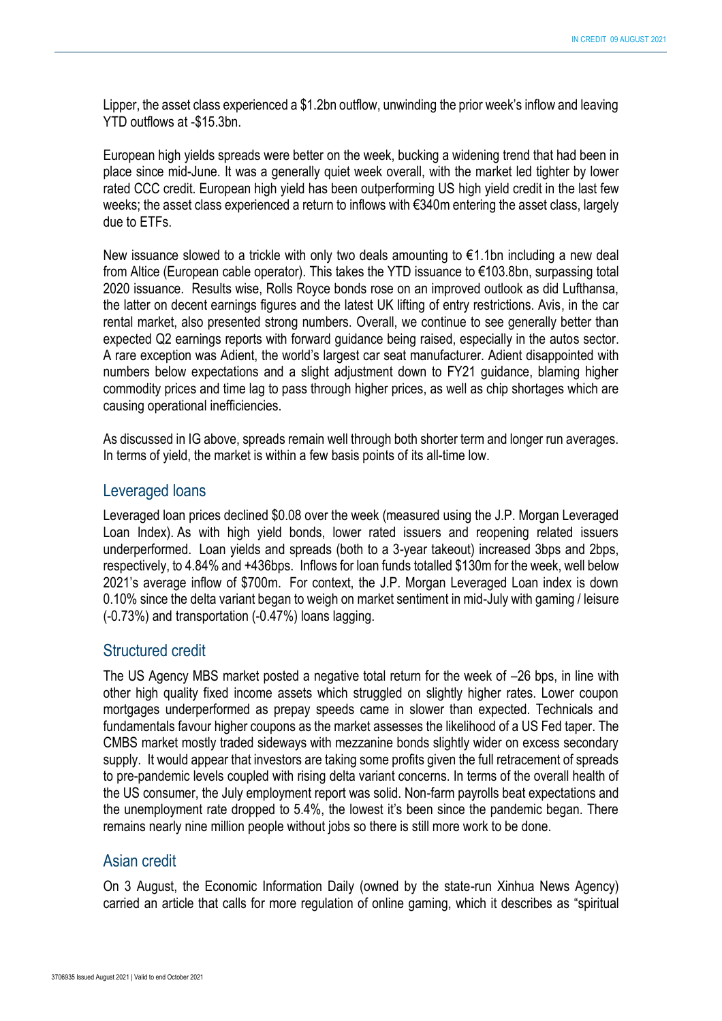Lipper, the asset class experienced a \$1.2bn outflow, unwinding the prior week's inflow and leaving YTD outflows at -\$15.3bn.

European high yields spreads were better on the week, bucking a widening trend that had been in place since mid-June. It was a generally quiet week overall, with the market led tighter by lower rated CCC credit. European high yield has been outperforming US high yield credit in the last few weeks; the asset class experienced a return to inflows with €340m entering the asset class, largely due to ETFs.

New issuance slowed to a trickle with only two deals amounting to  $\epsilon$ 1.1bn including a new deal from Altice (European cable operator). This takes the YTD issuance to €103.8bn, surpassing total 2020 issuance. Results wise, Rolls Royce bonds rose on an improved outlook as did Lufthansa, the latter on decent earnings figures and the latest UK lifting of entry restrictions. Avis, in the car rental market, also presented strong numbers. Overall, we continue to see generally better than expected Q2 earnings reports with forward guidance being raised, especially in the autos sector. A rare exception was Adient, the world's largest car seat manufacturer. Adient disappointed with numbers below expectations and a slight adjustment down to FY21 guidance, blaming higher commodity prices and time lag to pass through higher prices, as well as chip shortages which are causing operational inefficiencies.

As discussed in IG above, spreads remain well through both shorter term and longer run averages. In terms of yield, the market is within a few basis points of its all-time low.

#### Leveraged loans

Leveraged loan prices declined \$0.08 over the week (measured using the J.P. Morgan Leveraged Loan Index). As with high yield bonds, lower rated issuers and reopening related issuers underperformed. Loan yields and spreads (both to a 3-year takeout) increased 3bps and 2bps, respectively, to 4.84% and +436bps. Inflows for loan funds totalled \$130m for the week, well below 2021's average inflow of \$700m. For context, the J.P. Morgan Leveraged Loan index is down 0.10% since the delta variant began to weigh on market sentiment in mid-July with gaming / leisure (-0.73%) and transportation (-0.47%) loans lagging.

#### Structured credit

The US Agency MBS market posted a negative total return for the week of –26 bps, in line with other high quality fixed income assets which struggled on slightly higher rates. Lower coupon mortgages underperformed as prepay speeds came in slower than expected. Technicals and fundamentals favour higher coupons as the market assesses the likelihood of a US Fed taper. The CMBS market mostly traded sideways with mezzanine bonds slightly wider on excess secondary supply. It would appear that investors are taking some profits given the full retracement of spreads to pre-pandemic levels coupled with rising delta variant concerns. In terms of the overall health of the US consumer, the July employment report was solid. Non-farm payrolls beat expectations and the unemployment rate dropped to 5.4%, the lowest it's been since the pandemic began. There remains nearly nine million people without jobs so there is still more work to be done.

#### Asian credit

On 3 August, the Economic Information Daily (owned by the state-run Xinhua News Agency) carried an article that calls for more regulation of online gaming, which it describes as "spiritual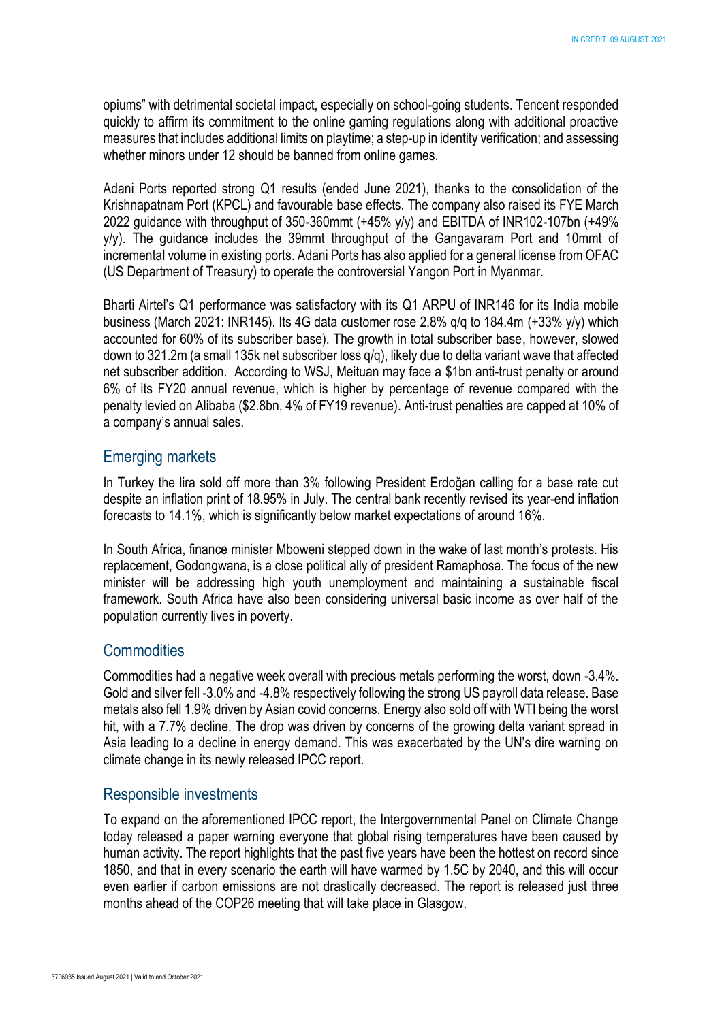opiums" with detrimental societal impact, especially on school-going students. Tencent responded quickly to affirm its commitment to the online gaming regulations along with additional proactive measures that includes additional limits on playtime; a step-up in identity verification; and assessing whether minors under 12 should be banned from online games.

Adani Ports reported strong Q1 results (ended June 2021), thanks to the consolidation of the Krishnapatnam Port (KPCL) and favourable base effects. The company also raised its FYE March 2022 guidance with throughput of 350-360mmt (+45% y/y) and EBITDA of INR102-107bn (+49% y/y). The guidance includes the 39mmt throughput of the Gangavaram Port and 10mmt of incremental volume in existing ports. Adani Ports has also applied for a general license from OFAC (US Department of Treasury) to operate the controversial Yangon Port in Myanmar.

Bharti Airtel's Q1 performance was satisfactory with its Q1 ARPU of INR146 for its India mobile business (March 2021: INR145). Its 4G data customer rose 2.8% q/q to 184.4m (+33% y/y) which accounted for 60% of its subscriber base). The growth in total subscriber base, however, slowed down to 321.2m (a small 135k net subscriber loss q/q), likely due to delta variant wave that affected net subscriber addition. According to WSJ, Meituan may face a \$1bn anti-trust penalty or around 6% of its FY20 annual revenue, which is higher by percentage of revenue compared with the penalty levied on Alibaba (\$2.8bn, 4% of FY19 revenue). Anti-trust penalties are capped at 10% of a company's annual sales.

### Emerging markets

In Turkey the lira sold off more than 3% following President Erdoğan calling for a base rate cut despite an inflation print of 18.95% in July. The central bank recently revised its year-end inflation forecasts to 14.1%, which is significantly below market expectations of around 16%.

In South Africa, finance minister Mboweni stepped down in the wake of last month's protests. His replacement, Godongwana, is a close political ally of president Ramaphosa. The focus of the new minister will be addressing high youth unemployment and maintaining a sustainable fiscal framework. South Africa have also been considering universal basic income as over half of the population currently lives in poverty.

#### **Commodities**

Commodities had a negative week overall with precious metals performing the worst, down -3.4%. Gold and silver fell -3.0% and -4.8% respectively following the strong US payroll data release. Base metals also fell 1.9% driven by Asian covid concerns. Energy also sold off with WTI being the worst hit, with a 7.7% decline. The drop was driven by concerns of the growing delta variant spread in Asia leading to a decline in energy demand. This was exacerbated by the UN's dire warning on climate change in its newly released IPCC report.

## Responsible investments

To expand on the aforementioned IPCC report, the Intergovernmental Panel on Climate Change today released a paper warning everyone that global rising temperatures have been caused by human activity. The report highlights that the past five years have been the hottest on record since 1850, and that in every scenario the earth will have warmed by 1.5C by 2040, and this will occur even earlier if carbon emissions are not drastically decreased. The report is released just three months ahead of the COP26 meeting that will take place in Glasgow.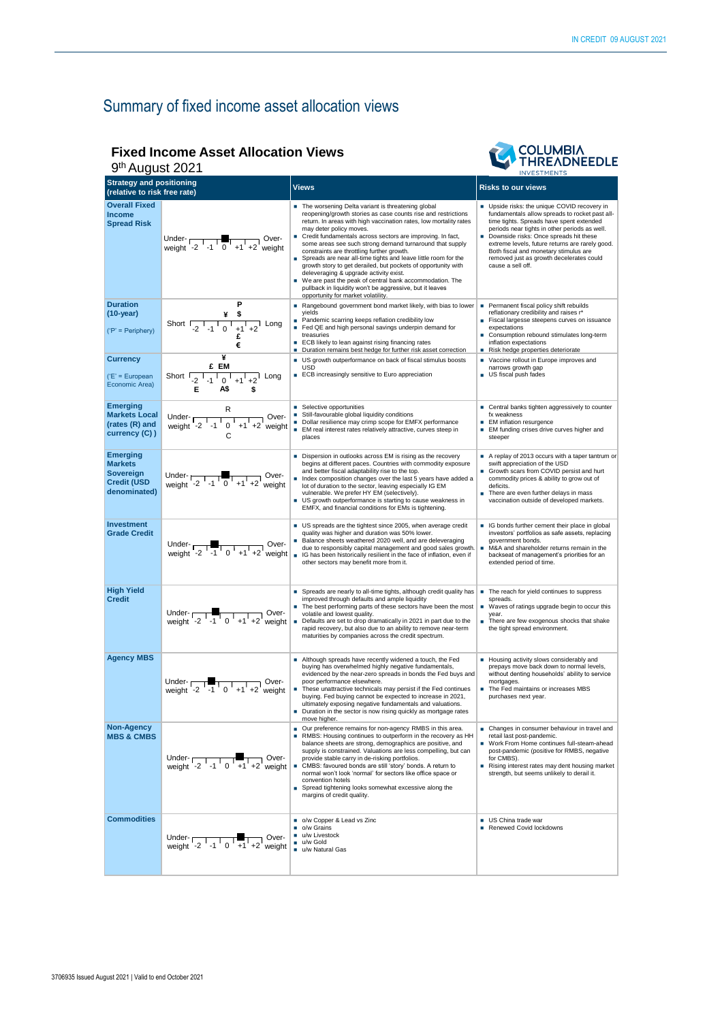# Summary of fixed income asset allocation views

#### **Fixed Income Asset Allocation Views**



| ''''''''<br>9 <sup>th</sup> August 2021<br><b>INVESTMENTS</b>                        |                                                                                                                                                                       |                                                                                                                                                                                                                                                                                                                                                                                                                                                                                                                                                                                                                                                                                                                                           |                                                                                                                                                                                                                                                                                                                                                                                                  |  |  |  |
|--------------------------------------------------------------------------------------|-----------------------------------------------------------------------------------------------------------------------------------------------------------------------|-------------------------------------------------------------------------------------------------------------------------------------------------------------------------------------------------------------------------------------------------------------------------------------------------------------------------------------------------------------------------------------------------------------------------------------------------------------------------------------------------------------------------------------------------------------------------------------------------------------------------------------------------------------------------------------------------------------------------------------------|--------------------------------------------------------------------------------------------------------------------------------------------------------------------------------------------------------------------------------------------------------------------------------------------------------------------------------------------------------------------------------------------------|--|--|--|
| <b>Strategy and positioning</b><br>(relative to risk free rate)                      |                                                                                                                                                                       | <b>Views</b>                                                                                                                                                                                                                                                                                                                                                                                                                                                                                                                                                                                                                                                                                                                              | <b>Risks to our views</b>                                                                                                                                                                                                                                                                                                                                                                        |  |  |  |
| <b>Overall Fixed</b><br><b>Income</b><br><b>Spread Risk</b>                          | Under- $\begin{array}{ c c c c c }\n\hline\n\text{Weight} & -2 & -1 & 0 & +1 & +2 \text{ weight}\n\end{array}$                                                        | The worsening Delta variant is threatening global<br>reopening/growth stories as case counts rise and restrictions<br>return. In areas with high vaccination rates, low mortality rates<br>may deter policy moves.<br>Credit fundamentals across sectors are improving. In fact,<br>some areas see such strong demand turnaround that supply<br>constraints are throttling further growth.<br>Spreads are near all-time tights and leave little room for the<br>growth story to get derailed, but pockets of opportunity with<br>deleveraging & upgrade activity exist.<br>٠<br>We are past the peak of central bank accommodation. The<br>pullback in liquidity won't be aggressive, but it leaves<br>opportunity for market volatility. | Upside risks: the unique COVID recovery in<br>fundamentals allow spreads to rocket past all-<br>time tights. Spreads have spent extended<br>periods near tights in other periods as well.<br>Downside risks: Once spreads hit these<br>extreme levels, future returns are rarely good.<br>Both fiscal and monetary stimulus are<br>removed just as growth decelerates could<br>cause a sell off. |  |  |  |
| <b>Duration</b><br>$(10-year)$<br>$('P' = Periphery)$                                | Р<br>Short $\frac{1}{2}$ -1 $\frac{1}{0}$ +1 +2 Long<br>€                                                                                                             | Rangebound government bond market likely, with bias to lower<br>yields<br>Pandemic scarring keeps reflation credibility low<br>٠<br>Fed QE and high personal savings underpin demand for<br>treasuries<br>ECB likely to lean against rising financing rates<br>٠<br>Duration remains best hedge for further risk asset correction<br>٠                                                                                                                                                                                                                                                                                                                                                                                                    | Permanent fiscal policy shift rebuilds<br>reflationary credibility and raises r*<br>Fiscal largesse steepens curves on issuance<br>expectations<br>Consumption rebound stimulates long-term<br>inflation expectations<br>Risk hedge properties deteriorate<br>٠                                                                                                                                  |  |  |  |
| Currency<br>('E' = European<br>Economic Area)                                        | ¥<br>£ EM<br>Short $\boxed{2 \cdot 1 \cdot 0 \cdot 1 \cdot 1 \cdot 2}$ Long<br>Е<br>A\$<br>\$                                                                         | US growth outperformance on back of fiscal stimulus boosts<br><b>USD</b><br>ECB increasingly sensitive to Euro appreciation                                                                                                                                                                                                                                                                                                                                                                                                                                                                                                                                                                                                               | Vaccine rollout in Europe improves and<br>narrows growth gap<br>US fiscal push fades                                                                                                                                                                                                                                                                                                             |  |  |  |
| <b>Emerging</b><br><b>Markets Local</b><br>(rates (R) and<br>currency (C))           | R<br>Under- $\sqrt{\frac{1}{10} + 1 + 2}$ Over-<br>weight -2 -1 0 +1 +2 weight<br>C                                                                                   | Selective opportunities<br>Still-favourable global liquidity conditions<br>Dollar resilience may crimp scope for EMFX performance<br>EM real interest rates relatively attractive, curves steep in<br>places                                                                                                                                                                                                                                                                                                                                                                                                                                                                                                                              | ■ Central banks tighten aggressively to counter<br>fx weakness<br><b>EM</b> inflation resurgence<br>EM funding crises drive curves higher and<br>steeper                                                                                                                                                                                                                                         |  |  |  |
| <b>Emerging</b><br><b>Markets</b><br>Sovereign<br><b>Credit (USD</b><br>denominated) | Under- $\frac{1}{2}$ -1 0 +1 +2 weight                                                                                                                                | Dispersion in outlooks across EM is rising as the recovery<br>begins at different paces. Countries with commodity exposure<br>and better fiscal adaptability rise to the top.<br>Index composition changes over the last 5 years have added a<br>lot of duration to the sector, leaving especially IG EM<br>vulnerable. We prefer HY EM (selectively).<br>■ US growth outperformance is starting to cause weakness in<br>EMFX, and financial conditions for EMs is tightening.                                                                                                                                                                                                                                                            | A replay of 2013 occurs with a taper tantrum or<br>swift appreciation of the USD<br>Growth scars from COVID persist and hurt<br>commodity prices & ability to grow out of<br>deficits.<br>There are even further delays in mass<br>vaccination outside of developed markets.                                                                                                                     |  |  |  |
| <b>Investment</b><br><b>Grade Credit</b>                                             | Under- $\frac{1}{100}$ Over-<br>weight -2 -1 0 +1 +2 weight                                                                                                           | US spreads are the tightest since 2005, when average credit<br>quality was higher and duration was 50% lower.<br>Balance sheets weathered 2020 well, and are deleveraging<br>due to responsibly capital management and good sales growth.<br>IG has been historically resilient in the face of inflation, even if<br>other sectors may benefit more from it.                                                                                                                                                                                                                                                                                                                                                                              | G bonds further cement their place in global<br>investors' portfolios as safe assets, replacing<br>government bonds.<br>M&A and shareholder returns remain in the<br>٠<br>backseat of management's priorities for an<br>extended period of time.                                                                                                                                                 |  |  |  |
| <b>High Yield</b><br><b>Credit</b>                                                   | Under- $\frac{1}{2}$ -1 0 +1 +2 weight                                                                                                                                | Spreads are nearly to all-time tights, although credit quality has<br>improved through defaults and ample liquidity<br>The best performing parts of these sectors have been the most<br>volatile and lowest quality.<br>Defaults are set to drop dramatically in 2021 in part due to the<br>٠<br>rapid recovery, but also due to an ability to remove near-term<br>maturities by companies across the credit spectrum.                                                                                                                                                                                                                                                                                                                    | The reach for yield continues to suppress<br>spreads.<br>■ Waves of ratings upgrade begin to occur this<br>year.<br>There are few exogenous shocks that shake<br>٠<br>the tight spread environment.                                                                                                                                                                                              |  |  |  |
| <b>Agency MBS</b>                                                                    | Under- $\sqrt{2}$ -1 0 +1 +2 weight                                                                                                                                   | Although spreads have recently widened a touch, the Fed<br>buying has overwhelmed highly negative fundamentals,<br>evidenced by the near-zero spreads in bonds the Fed buys and<br>poor performance elsewhere.<br>These unattractive technicals may persist if the Fed continues<br>buying. Fed buying cannot be expected to increase in 2021,<br>ultimately exposing negative fundamentals and valuations.<br>■ Duration in the sector is now rising quickly as mortgage rates<br>move higher.                                                                                                                                                                                                                                           | Housing activity slows considerably and<br>prepays move back down to normal levels,<br>without denting households' ability to service<br>mortgages.<br>The Fed maintains or increases MBS<br>purchases next year.                                                                                                                                                                                |  |  |  |
| <b>Non-Agency</b><br><b>MBS &amp; CMBS</b>                                           | Under- $\overline{\smash{)}\  \  \, 2 \ \n \begin{array}{ccc}\n -1 & 0 \\ +1 & +2 \\ \end{array}}\n \begin{array}{ccc}\n \text{Over-} \\ \text{weight}\n \end{array}$ | Our preference remains for non-agency RMBS in this area.<br>٠<br>RMBS: Housing continues to outperform in the recovery as HH<br>٠<br>balance sheets are strong, demographics are positive, and<br>supply is constrained. Valuations are less compelling, but can<br>provide stable carry in de-risking portfolios.<br>CMBS: favoured bonds are still 'story' bonds. A return to<br>r.<br>normal won't look 'normal' for sectors like office space or<br>convention hotels<br>Spread tightening looks somewhat excessive along the<br>margins of credit quality.                                                                                                                                                                           | ■ Changes in consumer behaviour in travel and<br>retail last post-pandemic.<br>■ Work From Home continues full-steam-ahead<br>post-pandemic (positive for RMBS, negative<br>for CMBS).<br>Rising interest rates may dent housing market<br>strength, but seems unlikely to derail it.                                                                                                            |  |  |  |
| <b>Commodities</b>                                                                   |                                                                                                                                                                       | o/w Copper & Lead vs Zinc<br>٠<br>o/w Grains<br>u/w Livestock<br>u/w Gold<br>٠<br>u/w Natural Gas                                                                                                                                                                                                                                                                                                                                                                                                                                                                                                                                                                                                                                         | US China trade war<br>Renewed Covid lockdowns                                                                                                                                                                                                                                                                                                                                                    |  |  |  |